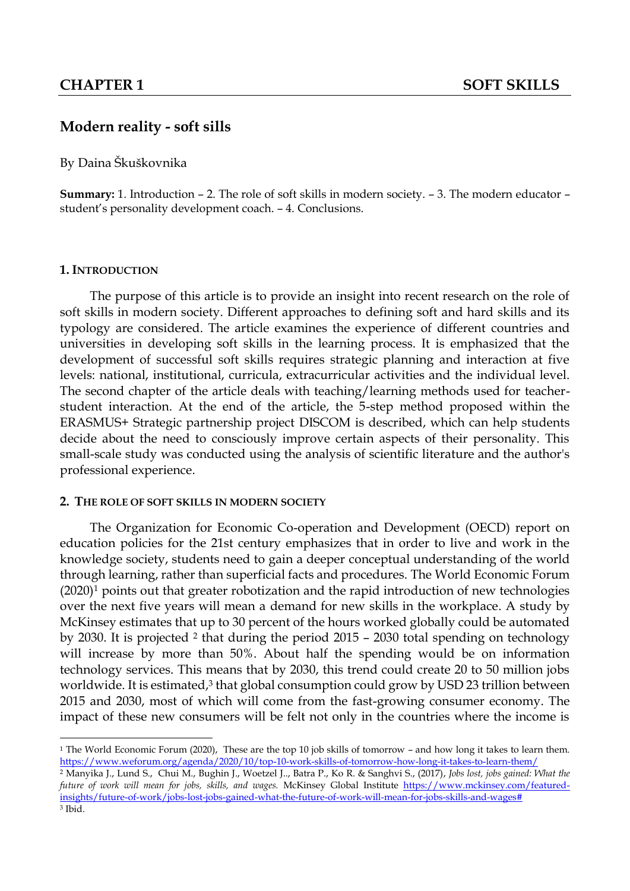# **Modern reality - soft sills**

By Daina Škuškovnika

**Summary:** 1. Introduction – 2. The role of soft skills in modern society. – 3. The modern educator – student's personality development coach. – 4. Conclusions.

### **1. INTRODUCTION**

 $\overline{a}$ 

The purpose of this article is to provide an insight into recent research on the role of soft skills in modern society. Different approaches to defining soft and hard skills and its typology are considered. The article examines the experience of different countries and universities in developing soft skills in the learning process. It is emphasized that the development of successful soft skills requires strategic planning and interaction at five levels: national, institutional, curricula, extracurricular activities and the individual level. The second chapter of the article deals with teaching/learning methods used for teacherstudent interaction. At the end of the article, the 5-step method proposed within the ERASMUS+ Strategic partnership project DISCOM is described, which can help students decide about the need to consciously improve certain aspects of their personality. This small-scale study was conducted using the analysis of scientific literature and the author's professional experience.

#### **2. THE ROLE OF SOFT SKILLS IN MODERN SOCIETY**

The Organization for Economic Co-operation and Development (OECD) report on education policies for the 21st century emphasizes that in order to live and work in the knowledge society, students need to gain a deeper conceptual understanding of the world through learning, rather than superficial facts and procedures. The World Economic Forum (2020)<sup>1</sup> points out that greater robotization and the rapid introduction of new technologies over the next five years will mean a demand for new skills in the workplace. A study by McKinsey estimates that up to 30 percent of the hours worked globally could be automated by 2030. It is projected  $2$  that during the period 2015 – 2030 total spending on technology will increase by more than 50%. About half the spending would be on information technology services. This means that by 2030, this trend could create 20 to 50 million jobs worldwide. It is estimated,<sup>3</sup> that global consumption could grow by USD 23 trillion between 2015 and 2030, most of which will come from the fast-growing consumer economy. The impact of these new consumers will be felt not only in the countries where the income is

<sup>1</sup> The World Economic Forum (2020), These are the top 10 job skills of tomorrow – and how long it takes to learn them. <https://www.weforum.org/agenda/2020/10/top-10-work-skills-of-tomorrow-how-long-it-takes-to-learn-them/>

<sup>2</sup> Manyika J., Lund S., Chui M., Bughin J., Woetzel J.., Batra P., Ko R. & Sanghvi S., (2017), *Jobs lost, jobs gained: What the future of work will mean for jobs, skills, and wages.* McKinsey Global Institute [https://www.mckinsey.com/featured](https://www.mckinsey.com/featured-insights/future-of-work/jobs-lost-jobs-gained-what-the-future-of-work-will-mean-for-jobs-skills-and-wages)[insights/future-of-work/jobs-lost-jobs-gained-what-the-future-of-work-will-mean-for-jobs-skills-and-wages#](https://www.mckinsey.com/featured-insights/future-of-work/jobs-lost-jobs-gained-what-the-future-of-work-will-mean-for-jobs-skills-and-wages) <sup>3</sup> Ibid.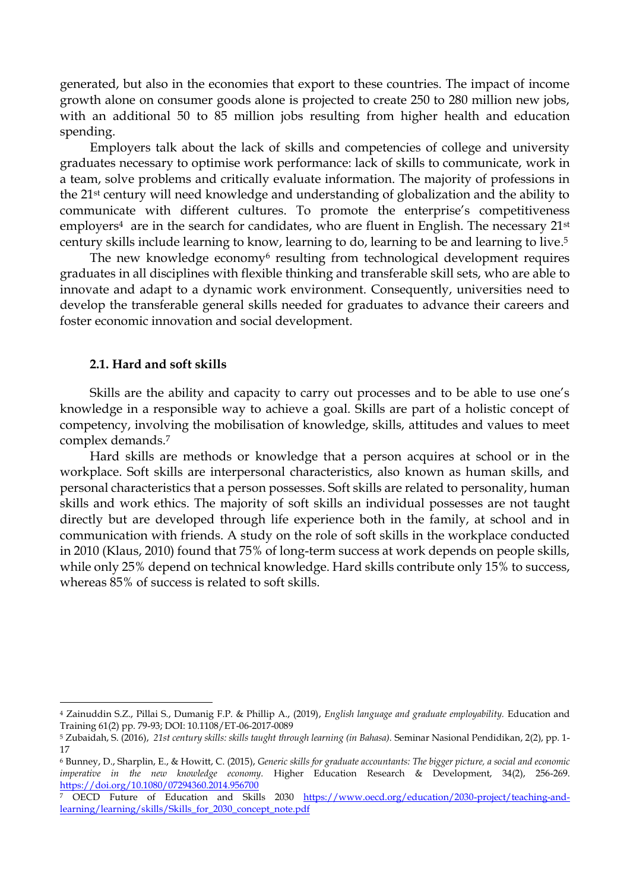generated, but also in the economies that export to these countries. The impact of income growth alone on consumer goods alone is projected to create 250 to 280 million new jobs, with an additional 50 to 85 million jobs resulting from higher health and education spending.

Employers talk about the lack of skills and competencies of college and university graduates necessary to optimise work performance: lack of skills to communicate, work in a team, solve problems and critically evaluate information. The majority of professions in the 21st century will need knowledge and understanding of globalization and the ability to communicate with different cultures. To promote the enterprise's competitiveness employers<sup>4</sup> are in the search for candidates, who are fluent in English. The necessary  $21^{st}$ century skills include learning to know, learning to do, learning to be and learning to live. 5

The new knowledge economy<sup>6</sup> resulting from technological development requires graduates in all disciplines with flexible thinking and transferable skill sets, who are able to innovate and adapt to a dynamic work environment. Consequently, universities need to develop the transferable general skills needed for graduates to advance their careers and foster economic innovation and social development.

#### **2.1. Hard and soft skills**

**.** 

Skills are the ability and capacity to carry out processes and to be able to use one's knowledge in a responsible way to achieve a goal. Skills are part of a holistic concept of competency, involving the mobilisation of knowledge, skills, attitudes and values to meet complex demands. 7

Hard skills are methods or knowledge that a person acquires at school or in the workplace. Soft skills are interpersonal characteristics, also known as human skills, and personal characteristics that a person possesses. Soft skills are related to personality, human skills and work ethics. The majority of soft skills an individual possesses are not taught directly but are developed through life experience both in the family, at school and in communication with friends. A study on the role of soft skills in the workplace conducted in 2010 (Klaus, 2010) found that 75% of long-term success at work depends on people skills, while only 25% depend on technical knowledge. Hard skills contribute only 15% to success, whereas 85% of success is related to soft skills.

<sup>4</sup> Zainuddin S.Z., Pillai S., Dumanig F.P. & Phillip A., (2019), *English language and graduate employability.* Education and Training 61(2) pp. 79-93; DOI: 10.1108/ET-06-2017-0089

<sup>5</sup> Zubaidah, S. (2016), *21st century skills: skills taught through learning (in Bahasa).* Seminar Nasional Pendidikan, 2(2), pp. 1- 17

<sup>6</sup> Bunney, D., Sharplin, E., & Howitt, C. (2015), *Generic skills for graduate accountants: The bigger picture, a social and economic imperative in the new knowledge economy.* Higher Education Research & Development, 34(2), 256-269. <https://doi.org/10.1080/07294360.2014.956700>

<sup>7</sup> OECD Future of Education and Skills 2030 [https://www.oecd.org/education/2030-project/teaching-and](https://www.oecd.org/education/2030-project/teaching-and-learning/learning/skills/Skills_for_2030_concept_note.pdf)learning/learning/skills/Skills for 2030 concept note.pdf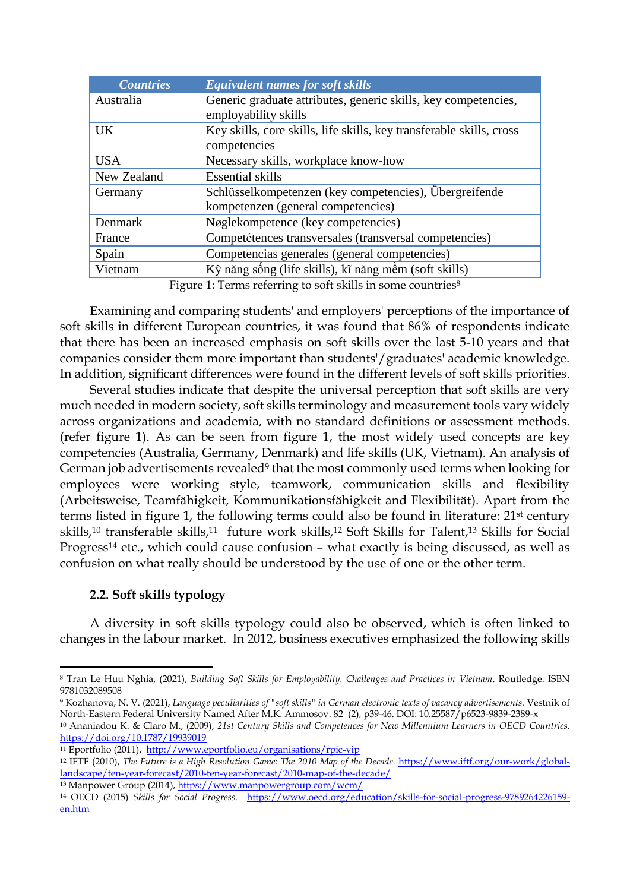| <b>Countries</b>                                                        | <b>Equivalent names for soft skills</b>                              |  |
|-------------------------------------------------------------------------|----------------------------------------------------------------------|--|
| Australia                                                               | Generic graduate attributes, generic skills, key competencies,       |  |
|                                                                         | employability skills                                                 |  |
| <b>UK</b>                                                               | Key skills, core skills, life skills, key transferable skills, cross |  |
|                                                                         | competencies                                                         |  |
| <b>USA</b>                                                              | Necessary skills, workplace know-how                                 |  |
| New Zealand                                                             | <b>Essential skills</b>                                              |  |
| Germany                                                                 | Schlüsselkompetenzen (key competencies), Übergreifende               |  |
|                                                                         | kompetenzen (general competencies)                                   |  |
| Denmark                                                                 | Nøglekompetence (key competencies)                                   |  |
| France                                                                  | Competétences transversales (transversal competencies)               |  |
| Spain                                                                   | Competencias generales (general competencies)                        |  |
| Vietnam                                                                 | Kỹ năng sông (life skills), kĩ năng mềm (soft skills)                |  |
| Figure 1: Terms referring to soft skills in some countries <sup>8</sup> |                                                                      |  |

Examining and comparing students' and employers' perceptions of the importance of soft skills in different European countries, it was found that 86% of respondents indicate that there has been an increased emphasis on soft skills over the last 5-10 years and that companies consider them more important than students'/graduates' academic knowledge. In addition, significant differences were found in the different levels of soft skills priorities.

Several studies indicate that despite the universal perception that soft skills are very much needed in modern society, soft skills terminology and measurement tools vary widely across organizations and academia, with no standard definitions or assessment methods. (refer figure 1). As can be seen from figure 1, the most widely used concepts are key competencies (Australia, Germany, Denmark) and life skills (UK, Vietnam). An analysis of German job advertisements revealed<sup>9</sup> that the most commonly used terms when looking for employees were working style, teamwork, communication skills and flexibility (Arbeitsweise, Teamfähigkeit, Kommunikationsfähigkeit and Flexibilität). Apart from the terms listed in figure 1, the following terms could also be found in literature: 21st century skills,<sup>10</sup> transferable skills,<sup>11</sup> future work skills,<sup>12</sup> Soft Skills for Talent,<sup>13</sup> Skills for Social Progress<sup>14</sup> etc., which could cause confusion – what exactly is being discussed, as well as confusion on what really should be understood by the use of one or the other term.

## **2.2. Soft skills typology**

 $\overline{a}$ 

A diversity in soft skills typology could also be observed, which is often linked to changes in the labour market. In 2012, business executives emphasized the following skills

<sup>8</sup> Tran Le Huu Nghia, (2021), *Building Soft Skills for Employability. Challenges and Practices in Vietnam*. Routledge. ISBN 9781032089508

<sup>9</sup> Kozhanova, N. V. (2021), *Language peculiarities of "soft skills" in German electronic texts of vacancy advertisements.* Vestnik of North-Eastern Federal University Named After M.K. Ammosov. 82 (2), p39-46. DOI: 10.25587/p6523-9839-2389-x

<sup>10</sup> Ananiadou K. & Claro M., (2009), *21st Century Skills and Competences for New Millennium Learners in OECD Countries.*  <https://doi.org/10.1787/19939019>

<sup>11</sup> Eportfolio (2011),<http://www.eportfolio.eu/organisations/rpic-vip>

<sup>12</sup> IFTF (2010), *The Future is a High Resolution Game: The 2010 Map of the Decade.* [https://www.iftf.org/our-work/global](https://www.iftf.org/our-work/global-landscape/ten-year-forecast/2010-ten-year-forecast/2010-map-of-the-decade/)[landscape/ten-year-forecast/2010-ten-year-forecast/2010-map-of-the-decade/](https://www.iftf.org/our-work/global-landscape/ten-year-forecast/2010-ten-year-forecast/2010-map-of-the-decade/)

<sup>13</sup> Manpower Group (2014), <https://www.manpowergroup.com/wcm/>

<sup>14</sup> OECD (2015) *Skills for Social Progress*. [https://www.oecd.org/education/skills-for-social-progress-9789264226159](https://www.oecd.org/education/skills-for-social-progress-9789264226159-en.htm) [en.htm](https://www.oecd.org/education/skills-for-social-progress-9789264226159-en.htm)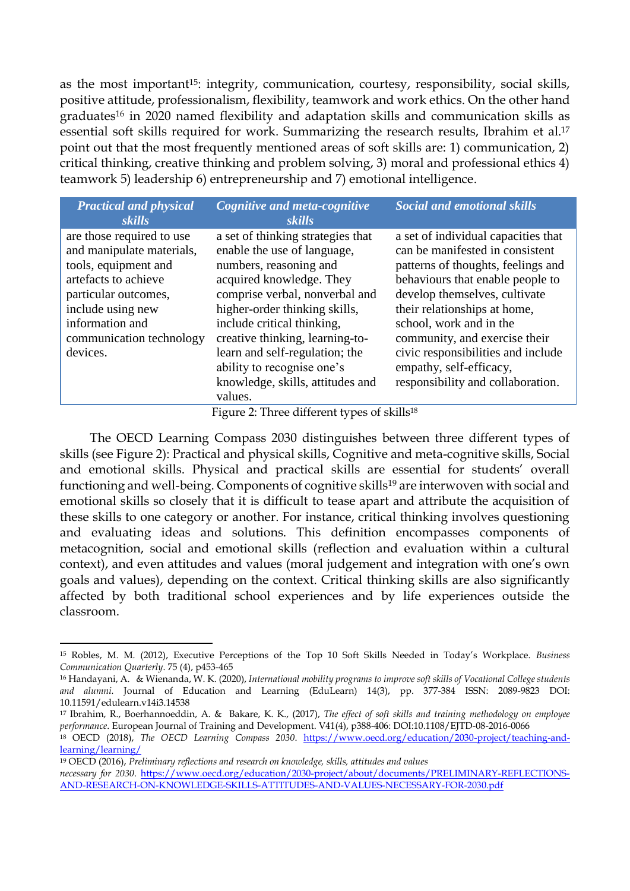as the most important<sup>15</sup>: integrity, communication, courtesy, responsibility, social skills, positive attitude, professionalism, flexibility, teamwork and work ethics. On the other hand graduates<sup>16</sup> in 2020 named flexibility and adaptation skills and communication skills as essential soft skills required for work. Summarizing the research results, Ibrahim et al.<sup>17</sup> point out that the most frequently mentioned areas of soft skills are: 1) communication, 2) critical thinking, creative thinking and problem solving, 3) moral and professional ethics 4) teamwork 5) leadership 6) entrepreneurship and 7) emotional intelligence.

| <b>Practical and physical</b><br>skills                                                                                                                                                                        | Cognitive and meta-cognitive<br>skills                                                                                                                                                                                                                                                                                                                                    | <b>Social and emotional skills</b>                                                                                                                                                                                                                                                                                                                                                  |
|----------------------------------------------------------------------------------------------------------------------------------------------------------------------------------------------------------------|---------------------------------------------------------------------------------------------------------------------------------------------------------------------------------------------------------------------------------------------------------------------------------------------------------------------------------------------------------------------------|-------------------------------------------------------------------------------------------------------------------------------------------------------------------------------------------------------------------------------------------------------------------------------------------------------------------------------------------------------------------------------------|
| are those required to use<br>and manipulate materials,<br>tools, equipment and<br>artefacts to achieve<br>particular outcomes,<br>include using new<br>information and<br>communication technology<br>devices. | a set of thinking strategies that<br>enable the use of language,<br>numbers, reasoning and<br>acquired knowledge. They<br>comprise verbal, nonverbal and<br>higher-order thinking skills,<br>include critical thinking,<br>creative thinking, learning-to-<br>learn and self-regulation; the<br>ability to recognise one's<br>knowledge, skills, attitudes and<br>values. | a set of individual capacities that<br>can be manifested in consistent<br>patterns of thoughts, feelings and<br>behaviours that enable people to<br>develop themselves, cultivate<br>their relationships at home,<br>school, work and in the<br>community, and exercise their<br>civic responsibilities and include<br>empathy, self-efficacy,<br>responsibility and collaboration. |

Figure 2: Three different types of skills<sup>18</sup>

The OECD Learning Compass 2030 distinguishes between three different types of skills (see Figure 2): Practical and physical skills, Cognitive and meta-cognitive skills, Social and emotional skills. Physical and practical skills are essential for students' overall functioning and well-being. Components of cognitive skills<sup>19</sup> are interwoven with social and emotional skills so closely that it is difficult to tease apart and attribute the acquisition of these skills to one category or another. For instance, critical thinking involves questioning and evaluating ideas and solutions. This definition encompasses components of metacognition, social and emotional skills (reflection and evaluation within a cultural context), and even attitudes and values (moral judgement and integration with one's own goals and values), depending on the context. Critical thinking skills are also significantly affected by both traditional school experiences and by life experiences outside the classroom.

**<sup>.</sup>** <sup>15</sup> Robles, M. M. (2012), Executive Perceptions of the Top 10 Soft Skills Needed in Today's Workplace. *Business Communication Quarterly*. 75 (4), p453-465

<sup>16</sup> Handayani, A. & Wienanda, W. K. (2020), *International mobility programs to improve soft skills of Vocational College students and alumni.* Journal of Education and Learning (EduLearn) 14(3), pp. 377-384 ISSN: 2089-9823 DOI: 10.11591/edulearn.v14i3.14538

<sup>17</sup> Ibrahim, R., Boerhannoeddin, A. & Bakare, K. K., (2017), *The effect of soft skills and training methodology on employee performance*. European Journal of Training and Development. V41(4), p388-406: DOI:10.1108/EJTD-08-2016-0066

<sup>18</sup> OECD (2018), *The OECD Learning Compass 2030*. [https://www.oecd.org/education/2030-project/teaching-and](https://www.oecd.org/education/2030-project/teaching-and-learning/learning/)[learning/learning/](https://www.oecd.org/education/2030-project/teaching-and-learning/learning/)

<sup>19</sup> OECD (2016), *Preliminary reflections and research on knowledge, skills, attitudes and values necessary for 2030*. [https://www.oecd.org/education/2030-project/about/documents/PRELIMINARY-REFLECTIONS-](https://www.oecd.org/education/2030-project/about/documents/PRELIMINARY-REFLECTIONS-AND-RESEARCH-ON-KNOWLEDGE-SKILLS-ATTITUDES-AND-VALUES-NECESSARY-FOR-2030.pdf)[AND-RESEARCH-ON-KNOWLEDGE-SKILLS-ATTITUDES-AND-VALUES-NECESSARY-FOR-2030.pdf](https://www.oecd.org/education/2030-project/about/documents/PRELIMINARY-REFLECTIONS-AND-RESEARCH-ON-KNOWLEDGE-SKILLS-ATTITUDES-AND-VALUES-NECESSARY-FOR-2030.pdf)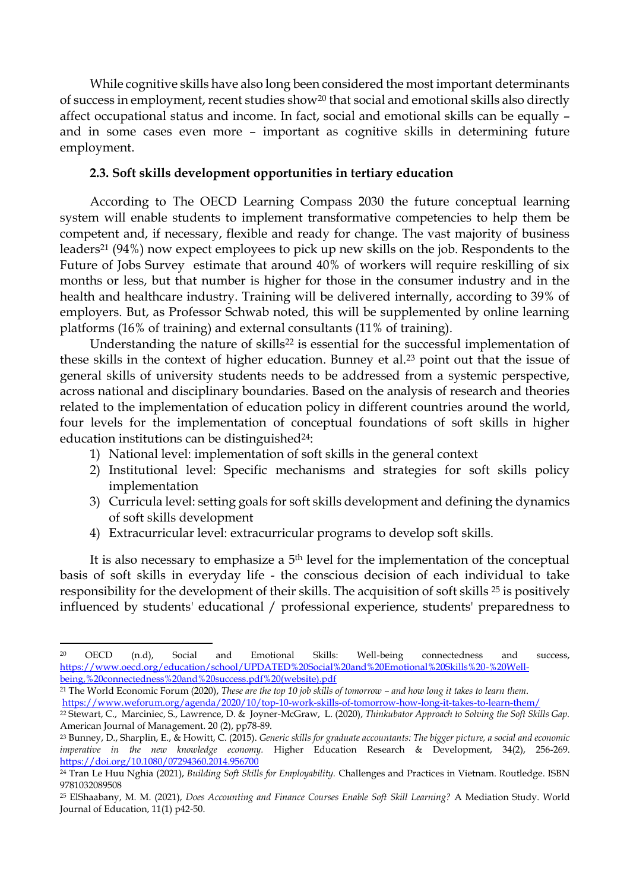While cognitive skills have also long been considered the most important determinants of success in employment, recent studies show<sup>20</sup> that social and emotional skills also directly affect occupational status and income. In fact, social and emotional skills can be equally – and in some cases even more – important as cognitive skills in determining future employment.

## **2.3. Soft skills development opportunities in tertiary education**

According to The OECD Learning Compass 2030 the future conceptual learning system will enable students to implement transformative competencies to help them be competent and, if necessary, flexible and ready for change. The vast majority of business leaders<sup>21</sup> (94%) now expect employees to pick up new skills on the job. Respondents to the Future of Jobs Survey estimate that around 40% of workers will require reskilling of six months or less, but that number is higher for those in the consumer industry and in the health and healthcare industry. Training will be delivered internally, according to 39% of employers. But, as Professor Schwab noted, this will be supplemented by online learning platforms (16% of training) and external consultants (11% of training).

Understanding the nature of skills<sup>22</sup> is essential for the successful implementation of these skills in the context of higher education. Bunney et al.<sup>23</sup> point out that the issue of general skills of university students needs to be addressed from a systemic perspective, across national and disciplinary boundaries. Based on the analysis of research and theories related to the implementation of education policy in different countries around the world, four levels for the implementation of conceptual foundations of soft skills in higher education institutions can be distinguished<sup>24</sup>:

- 1) National level: implementation of soft skills in the general context
- 2) Institutional level: Specific mechanisms and strategies for soft skills policy implementation
- 3) Curricula level: setting goals for soft skills development and defining the dynamics of soft skills development
- 4) Extracurricular level: extracurricular programs to develop soft skills.

It is also necessary to emphasize a 5<sup>th</sup> level for the implementation of the conceptual basis of soft skills in everyday life - the conscious decision of each individual to take responsibility for the development of their skills. The acquisition of soft skills <sup>25</sup> is positively influenced by students' educational / professional experience, students' preparedness to

**.** 

<sup>20</sup> OECD (n.d), Social and Emotional Skills: Well-being connectedness and success, [https://www.oecd.org/education/school/UPDATED%20Social%20and%20Emotional%20Skills%20-%20Well](https://www.oecd.org/education/school/UPDATED%20Social%20and%20Emotional%20Skills%20-%20Well-being,%20connectedness%20and%20success.pdf%20(website).pdf)[being,%20connectedness%20and%20success.pdf%20\(website\).pdf](https://www.oecd.org/education/school/UPDATED%20Social%20and%20Emotional%20Skills%20-%20Well-being,%20connectedness%20and%20success.pdf%20(website).pdf)

<sup>21</sup> The World Economic Forum (2020), *These are the top 10 job skills of tomorrow – and how long it takes to learn them*. <https://www.weforum.org/agenda/2020/10/top-10-work-skills-of-tomorrow-how-long-it-takes-to-learn-them/>

<sup>22</sup> Stewart, C., Marciniec, S., Lawrence, D. & Joyner-McGraw, L. (2020), *Thinkubator Approach to Solving the Soft Skills Gap.* American Journal of Management. 20 (2), pp78-89.

<sup>23</sup> Bunney, D., Sharplin, E., & Howitt, C. (2015). *Generic skills for graduate accountants: The bigger picture, a social and economic imperative in the new knowledge economy.* Higher Education Research & Development, 34(2), 256-269. <https://doi.org/10.1080/07294360.2014.956700>

<sup>24</sup> Tran Le Huu Nghia (2021), *Building Soft Skills for Employability.* Challenges and Practices in Vietnam. Routledge. ISBN 9781032089508

<sup>25</sup> ElShaabany, M. M. (2021), *Does Accounting and Finance Courses Enable Soft Skill Learning?* A Mediation Study. World Journal of Education, 11(1) p42-50.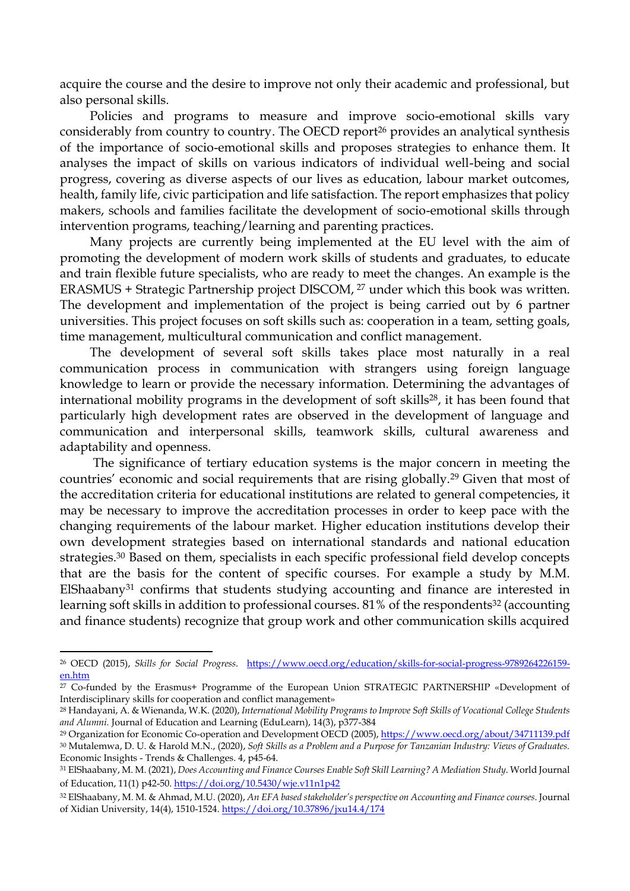acquire the course and the desire to improve not only their academic and professional, but also personal skills.

Policies and programs to measure and improve socio-emotional skills vary considerably from country to country. The OECD report<sup>26</sup> provides an analytical synthesis of the importance of socio-emotional skills and proposes strategies to enhance them. It analyses the impact of skills on various indicators of individual well-being and social progress, covering as diverse aspects of our lives as education, labour market outcomes, health, family life, civic participation and life satisfaction. The report emphasizes that policy makers, schools and families facilitate the development of socio-emotional skills through intervention programs, teaching/learning and parenting practices.

Many projects are currently being implemented at the EU level with the aim of promoting the development of modern work skills of students and graduates, to educate and train flexible future specialists, who are ready to meet the changes. An example is the ERASMUS + Strategic Partnership project DISCOM, <sup>27</sup> under which this book was written. The development and implementation of the project is being carried out by 6 partner universities. This project focuses on soft skills such as: cooperation in a team, setting goals, time management, multicultural communication and conflict management.

The development of several soft skills takes place most naturally in a real communication process in communication with strangers using foreign language knowledge to learn or provide the necessary information. Determining the advantages of international mobility programs in the development of soft skills<sup>28</sup>, it has been found that particularly high development rates are observed in the development of language and communication and interpersonal skills, teamwork skills, cultural awareness and adaptability and openness.

The significance of tertiary education systems is the major concern in meeting the countries' economic and social requirements that are rising globally.<sup>29</sup> Given that most of the accreditation criteria for educational institutions are related to general competencies, it may be necessary to improve the accreditation processes in order to keep pace with the changing requirements of the labour market. Higher education institutions develop their own development strategies based on international standards and national education strategies. <sup>30</sup> Based on them, specialists in each specific professional field develop concepts that are the basis for the content of specific courses. For example a study by M.M. ElShaabany<sup>31</sup> confirms that students studying accounting and finance are interested in learning soft skills in addition to professional courses. 81% of the respondents<sup>32</sup> (accounting and finance students) recognize that group work and other communication skills acquired

 $\overline{a}$ 

<sup>26</sup> OECD (2015), *Skills for Social Progress*. [https://www.oecd.org/education/skills-for-social-progress-9789264226159](https://www.oecd.org/education/skills-for-social-progress-9789264226159-en.htm) [en.htm](https://www.oecd.org/education/skills-for-social-progress-9789264226159-en.htm)

<sup>27</sup> Co-funded by the Erasmus+ Programme of the European Union STRATEGIC PARTNERSHIP «Development of Interdisciplinary skills for cooperation and conflict management»

<sup>28</sup> Handayani, A. & Wienanda, W.K. (2020), *International Mobility Programs to Improve Soft Skills of Vocational College Students and Alumni.* Journal of Education and Learning (EduLearn), 14(3), p377-384

<sup>&</sup>lt;sup>29</sup> Organization for Economic Co-operation and Development OECD (2005), <https://www.oecd.org/about/34711139.pdf> <sup>30</sup> Mutalemwa, D. U. & Harold M.N., (2020), *Soft Skills as a Problem and a Purpose for Tanzanian Industry: Views of Graduates.* Economic Insights - Trends & Challenges. 4, p45-64.

<sup>31</sup> ElShaabany, M. M. (2021), *Does Accounting and Finance Courses Enable Soft Skill Learning? A Mediation Study*. World Journal of Education, 11(1) p42-50[. https://doi.org/10.5430/wje.v11n1p42](https://doi.org/10.5430/wje.v11n1p42)

<sup>32</sup> ElShaabany, M. M. & Ahmad, M.U. (2020), *An EFA based stakeholder's perspective on Accounting and Finance courses*. Journal of Xidian University, 14(4), 1510-1524.<https://doi.org/10.37896/jxu14.4/174>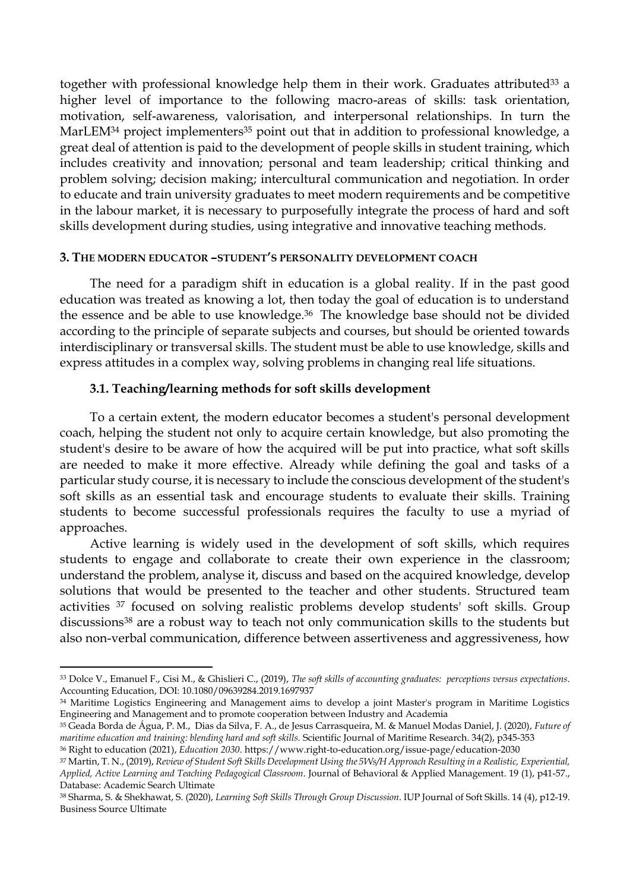together with professional knowledge help them in their work. Graduates attributed<sup>33</sup> a higher level of importance to the following macro-areas of skills: task orientation, motivation, self-awareness, valorisation, and interpersonal relationships. In turn the MarLEM<sup>34</sup> project implementers<sup>35</sup> point out that in addition to professional knowledge, a great deal of attention is paid to the development of people skills in student training, which includes creativity and innovation; personal and team leadership; critical thinking and problem solving; decision making; intercultural communication and negotiation. In order to educate and train university graduates to meet modern requirements and be competitive in the labour market, it is necessary to purposefully integrate the process of hard and soft skills development during studies, using integrative and innovative teaching methods.

### **3. THE MODERN EDUCATOR –STUDENT'S PERSONALITY DEVELOPMENT COACH**

The need for a paradigm shift in education is a global reality. If in the past good education was treated as knowing a lot, then today the goal of education is to understand the essence and be able to use knowledge.<sup>36</sup> The knowledge base should not be divided according to the principle of separate subjects and courses, but should be oriented towards interdisciplinary or transversal skills. The student must be able to use knowledge, skills and express attitudes in a complex way, solving problems in changing real life situations.

### **3.1. Teaching/learning methods for soft skills development**

To a certain extent, the modern educator becomes a student's personal development coach, helping the student not only to acquire certain knowledge, but also promoting the student's desire to be aware of how the acquired will be put into practice, what soft skills are needed to make it more effective. Already while defining the goal and tasks of a particular study course, it is necessary to include the conscious development of the student's soft skills as an essential task and encourage students to evaluate their skills. Training students to become successful professionals requires the faculty to use a myriad of approaches.

Active learning is widely used in the development of soft skills, which requires students to engage and collaborate to create their own experience in the classroom; understand the problem, analyse it, discuss and based on the acquired knowledge, develop solutions that would be presented to the teacher and other students. Structured team activities <sup>37</sup> focused on solving realistic problems develop students' soft skills. Group discussions<sup>38</sup> are a robust way to teach not only communication skills to the students but also non-verbal communication, difference between assertiveness and aggressiveness, how

 $\overline{a}$ 

<sup>33</sup> Dolce V., Emanuel F., Cisi M., & Ghislieri C., (2019), *The soft skills of accounting graduates: perceptions versus expectations*. Accounting Education, DOI: 10.1080/09639284.2019.1697937

<sup>34</sup> Maritime Logistics Engineering and Management aims to develop a joint Master's program in Maritime Logistics Engineering and Management and to promote cooperation between Industry and Academia

<sup>35</sup> Geada Borda de Água, P. M., Dias da Silva, F. A., de Jesus Carrasqueira, M. & Manuel Modas Daniel, J. (2020), *Future of maritime education and training: blending hard and soft skills.* Scientific Journal of Maritime Research. 34(2), p345-353

<sup>36</sup> Right to education (2021), *Education 2030*. https://www.right-to-education.org/issue-page/education-2030

<sup>37</sup> Martin, T. N., (2019), *Review of Student Soft Skills Development Using the 5Ws/H Approach Resulting in a Realistic, Experiential, Applied, Active Learning and Teaching Pedagogical Classroom*. Journal of Behavioral & Applied Management. 19 (1), p41-57., Database: Academic Search Ultimate

<sup>38</sup> Sharma, S. & Shekhawat, S. (2020), *Learning Soft Skills Through Group Discussion*. IUP Journal of Soft Skills. 14 (4), p12-19. Business Source Ultimate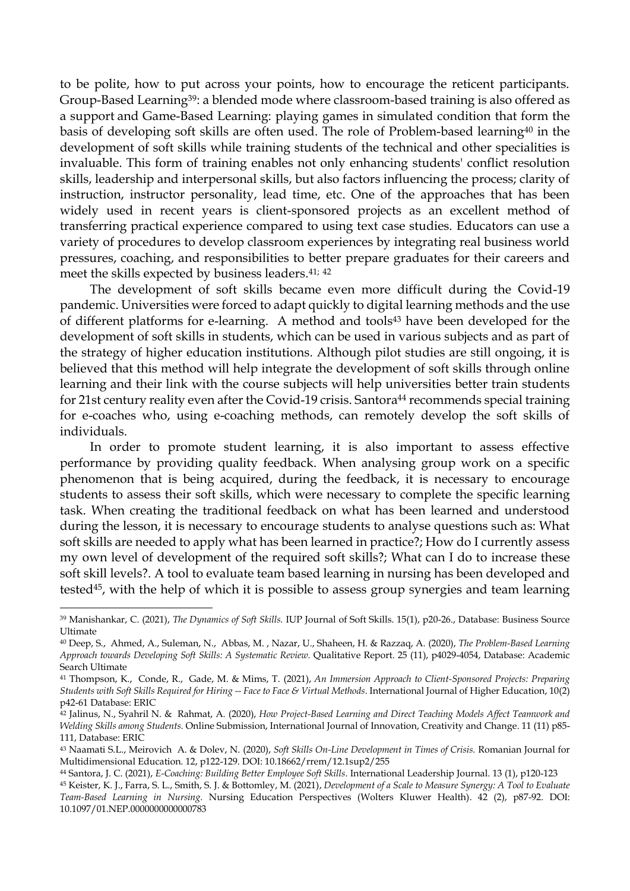to be polite, how to put across your points, how to encourage the reticent participants. Group-Based Learning39: a blended mode where classroom-based training is also offered as a support and Game-Based Learning: playing games in simulated condition that form the basis of developing soft skills are often used. The role of Problem-based learning<sup>40</sup> in the development of soft skills while training students of the technical and other specialities is invaluable. This form of training enables not only enhancing students' conflict resolution skills, leadership and interpersonal skills, but also factors influencing the process; clarity of instruction, instructor personality, lead time, etc. One of the approaches that has been widely used in recent years is client-sponsored projects as an excellent method of transferring practical experience compared to using text case studies. Educators can use a variety of procedures to develop classroom experiences by integrating real business world pressures, coaching, and responsibilities to better prepare graduates for their careers and meet the skills expected by business leaders. 41; 42

The development of soft skills became even more difficult during the Covid-19 pandemic. Universities were forced to adapt quickly to digital learning methods and the use of different platforms for e-learning. A method and tools<sup>43</sup> have been developed for the development of soft skills in students, which can be used in various subjects and as part of the strategy of higher education institutions. Although pilot studies are still ongoing, it is believed that this method will help integrate the development of soft skills through online learning and their link with the course subjects will help universities better train students for 21st century reality even after the Covid-19 crisis. Santora<sup>44</sup> recommends special training for e-coaches who, using e-coaching methods, can remotely develop the soft skills of individuals.

In order to promote student learning, it is also important to assess effective performance by providing quality feedback. When analysing group work on a specific phenomenon that is being acquired, during the feedback, it is necessary to encourage students to assess their soft skills, which were necessary to complete the specific learning task. When creating the traditional feedback on what has been learned and understood during the lesson, it is necessary to encourage students to analyse questions such as: What soft skills are needed to apply what has been learned in practice?; How do I currently assess my own level of development of the required soft skills?; What can I do to increase these soft skill levels?. A tool to evaluate team based learning in nursing has been developed and tested45, with the help of which it is possible to assess group synergies and team learning

1

<sup>&</sup>lt;sup>39</sup> Manishankar, C. (2021), *The Dynamics of Soft Skills*. IUP Journal of Soft Skills. 15(1), p20-26., Database: Business Source Ultimate

<sup>40</sup> Deep, S., Ahmed, A., Suleman, N., Abbas, M. , Nazar, U., Shaheen, H. & Razzaq, A. (2020), *The Problem-Based Learning Approach towards Developing Soft Skills: A Systematic Review.* Qualitative Report. 25 (11), p4029-4054, Database: Academic Search Ultimate

<sup>41</sup> Thompson, K., Conde, R., Gade, M. & Mims, T. (2021), *An Immersion Approach to Client-Sponsored Projects: Preparing Students with Soft Skills Required for Hiring -- Face to Face & Virtual Methods*. International Journal of Higher Education, 10(2) p42-61 Database: ERIC

<sup>42</sup> Jalinus, N., Syahril N. & Rahmat, A. (2020), *How Project-Based Learning and Direct Teaching Models Affect Teamwork and Welding Skills among Students.* Online Submission, International Journal of Innovation, Creativity and Change. 11 (11) p85- 111, Database: ERIC

<sup>43</sup> Naamati S.L., Meirovich A. & Dolev, N. (2020), *Soft Skills On-Line Development in Times of Crisis.* Romanian Journal for Multidimensional Education*.* 12, p122-129. DOI: 10.18662/rrem/12.1sup2/255

<sup>44</sup> Santora, J. C. (2021), *E-Coaching: Building Better Employee Soft Skills*. International Leadership Journal. 13 (1), p120-123

<sup>45</sup> Keister, K. J., Farra, S. L., Smith, S. J. & Bottomley, M. (2021), *Development of a Scale to Measure Synergy: A Tool to Evaluate Team-Based Learning in Nursing.* Nursing Education Perspectives (Wolters Kluwer Health). 42 (2), p87-92. DOI: 10.1097/01.NEP.0000000000000783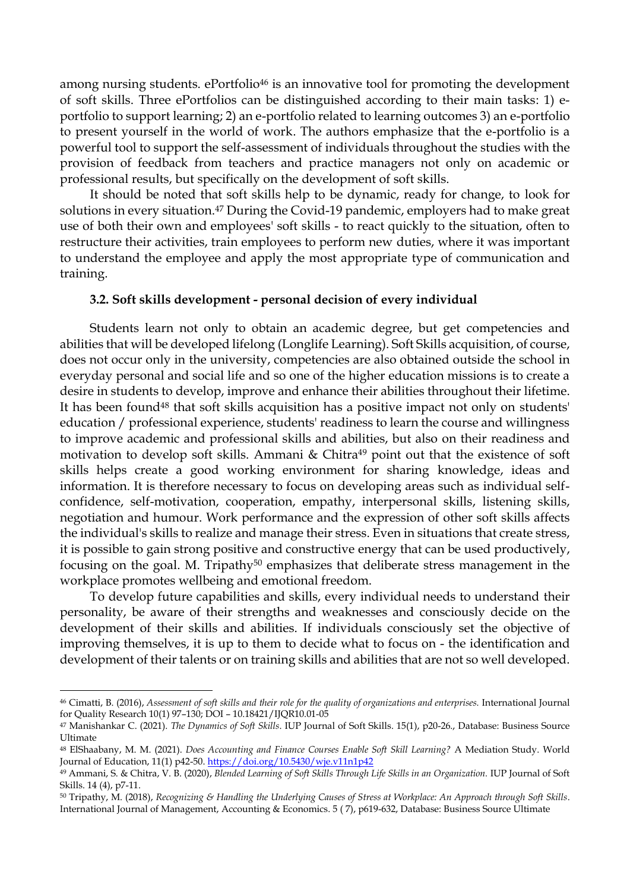among nursing students. ePortfolio<sup>46</sup> is an innovative tool for promoting the development of soft skills. Three ePortfolios can be distinguished according to their main tasks: 1) eportfolio to support learning; 2) an e-portfolio related to learning outcomes 3) an e-portfolio to present yourself in the world of work. The authors emphasize that the e-portfolio is a powerful tool to support the self-assessment of individuals throughout the studies with the provision of feedback from teachers and practice managers not only on academic or professional results, but specifically on the development of soft skills.

It should be noted that soft skills help to be dynamic, ready for change, to look for solutions in every situation. <sup>47</sup> During the Covid-19 pandemic, employers had to make great use of both their own and employees' soft skills - to react quickly to the situation, often to restructure their activities, train employees to perform new duties, where it was important to understand the employee and apply the most appropriate type of communication and training.

### **3.2. Soft skills development - personal decision of every individual**

Students learn not only to obtain an academic degree, but get competencies and abilities that will be developed lifelong (Longlife Learning). Soft Skills acquisition, of course, does not occur only in the university, competencies are also obtained outside the school in everyday personal and social life and so one of the higher education missions is to create a desire in students to develop, improve and enhance their abilities throughout their lifetime. It has been found<sup>48</sup> that soft skills acquisition has a positive impact not only on students' education / professional experience, students' readiness to learn the course and willingness to improve academic and professional skills and abilities, but also on their readiness and motivation to develop soft skills. Ammani & Chitra<sup>49</sup> point out that the existence of soft skills helps create a good working environment for sharing knowledge, ideas and information. It is therefore necessary to focus on developing areas such as individual selfconfidence, self-motivation, cooperation, empathy, interpersonal skills, listening skills, negotiation and humour. Work performance and the expression of other soft skills affects the individual's skills to realize and manage their stress. Even in situations that create stress, it is possible to gain strong positive and constructive energy that can be used productively, focusing on the goal. M. Tripathy<sup>50</sup> emphasizes that deliberate stress management in the workplace promotes wellbeing and emotional freedom.

To develop future capabilities and skills, every individual needs to understand their personality, be aware of their strengths and weaknesses and consciously decide on the development of their skills and abilities. If individuals consciously set the objective of improving themselves, it is up to them to decide what to focus on - the identification and development of their talents or on training skills and abilities that are not so well developed.

**.** 

<sup>46</sup> Cimatti, B. (2016), *Assessment of soft skills and their role for the quality of organizations and enterprises.* International Journal for Quality Research 10(1) 97–130; DOI – 10.18421/IJQR10.01-05

<sup>47</sup> Manishankar C. (2021). *The Dynamics of Soft Skills*. IUP Journal of Soft Skills. 15(1), p20-26., Database: Business Source Ultimate

<sup>48</sup> ElShaabany, M. M. (2021). *Does Accounting and Finance Courses Enable Soft Skill Learning?* A Mediation Study. World Journal of Education, 11(1) p42-50.<https://doi.org/10.5430/wje.v11n1p42>

<sup>49</sup> Ammani, S. & Chitra, V. B. (2020), *Blended Learning of Soft Skills Through Life Skills in an Organization.* IUP Journal of Soft Skills. 14 (4), p7-11.

<sup>50</sup> Tripathy, M. (2018), *Recognizing & Handling the Underlying Causes of Stress at Workplace: An Approach through Soft Skills*. International Journal of Management, Accounting & Economics. 5 ( 7), p619-632, Database: Business Source Ultimate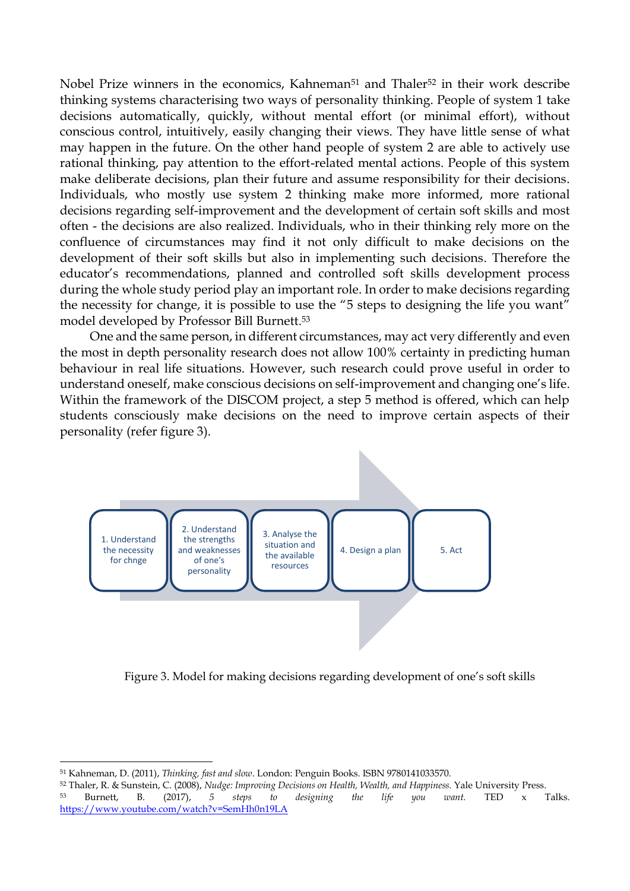Nobel Prize winners in the economics, Kahneman<sup>51</sup> and Thaler<sup>52</sup> in their work describe thinking systems characterising two ways of personality thinking. People of system 1 take decisions automatically, quickly, without mental effort (or minimal effort), without conscious control, intuitively, easily changing their views. They have little sense of what may happen in the future. On the other hand people of system 2 are able to actively use rational thinking, pay attention to the effort-related mental actions. People of this system make deliberate decisions, plan their future and assume responsibility for their decisions. Individuals, who mostly use system 2 thinking make more informed, more rational decisions regarding self-improvement and the development of certain soft skills and most often - the decisions are also realized. Individuals, who in their thinking rely more on the confluence of circumstances may find it not only difficult to make decisions on the development of their soft skills but also in implementing such decisions. Therefore the educator's recommendations, planned and controlled soft skills development process during the whole study period play an important role. In order to make decisions regarding the necessity for change, it is possible to use the "5 steps to designing the life you want" model developed by Professor Bill Burnett. 53

One and the same person, in different circumstances, may act very differently and even the most in depth personality research does not allow 100% certainty in predicting human behaviour in real life situations. However, such research could prove useful in order to understand oneself, make conscious decisions on self-improvement and changing one's life. Within the framework of the DISCOM project, a step 5 method is offered, which can help students consciously make decisions on the need to improve certain aspects of their personality (refer figure 3).



Figure 3. Model for making decisions regarding development of one's soft skills

**.** 

<sup>51</sup> Kahneman, D. (2011), *Thinking, fast and slow*. London: Penguin Books. ISBN 9780141033570.

<sup>52</sup> Thaler, R. & Sunstein, C. (2008), *Nudge: Improving Decisions on Health, Wealth, and Happiness.* Yale University Press. <sup>53</sup> Burnett, B. (2017), *5 steps to designing the life you want.* TED x Talks. <https://www.youtube.com/watch?v=SemHh0n19LA>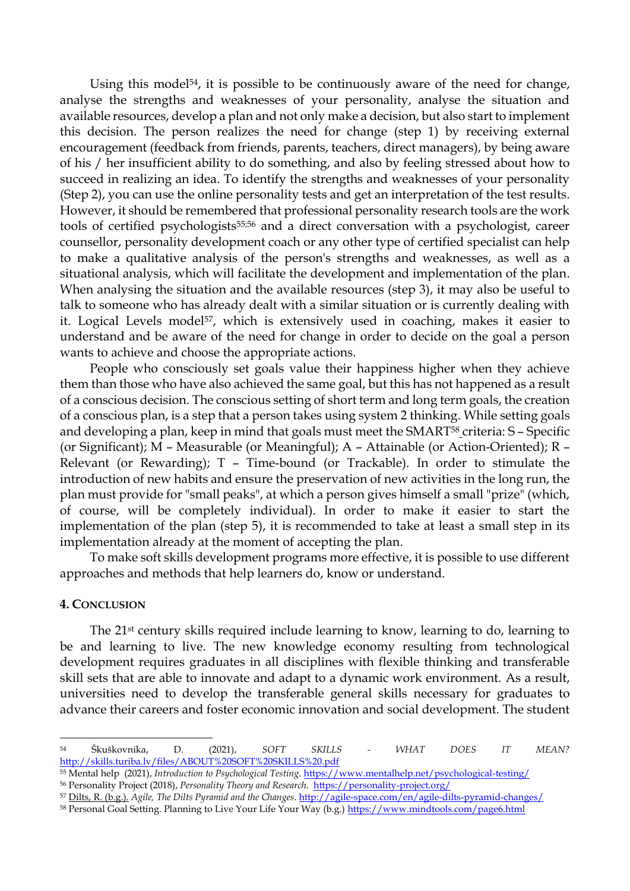Using this model<sup>54</sup>, it is possible to be continuously aware of the need for change, analyse the strengths and weaknesses of your personality, analyse the situation and available resources, develop a plan and not only make a decision, but also start to implement this decision. The person realizes the need for change (step 1) by receiving external encouragement (feedback from friends, parents, teachers, direct managers), by being aware of his / her insufficient ability to do something, and also by feeling stressed about how to succeed in realizing an idea. To identify the strengths and weaknesses of your personality (Step 2), you can use the online personality tests and get an interpretation of the test results. However, it should be remembered that professional personality research tools are the work tools of certified psychologists55;56 and a direct conversation with a psychologist, career counsellor, personality development coach or any other type of certified specialist can help to make a qualitative analysis of the person's strengths and weaknesses, as well as a situational analysis, which will facilitate the development and implementation of the plan. When analysing the situation and the available resources (step 3), it may also be useful to talk to someone who has already dealt with a similar situation or is currently dealing with it. Logical Levels model<sup>57</sup>, which is extensively used in coaching, makes it easier to understand and be aware of the need for change in order to decide on the goal a person wants to achieve and choose the appropriate actions.

People who consciously set goals value their happiness higher when they achieve them than those who have also achieved the same goal, but this has not happened as a result of a conscious decision. The conscious setting of short term and long term goals, the creation of a conscious plan, is a step that a person takes using system 2 thinking. While setting goals and developing a plan, keep in mind that goals must meet the SMART<sup>58</sup> criteria: S - Specific (or Significant); M – Measurable (or Meaningful); A – Attainable (or Action-Oriented); R – Relevant (or Rewarding); T – Time-bound (or Trackable). In order to stimulate the introduction of new habits and ensure the preservation of new activities in the long run, the plan must provide for "small peaks", at which a person gives himself a small "prize" (which, of course, will be completely individual). In order to make it easier to start the implementation of the plan (step 5), it is recommended to take at least a small step in its implementation already at the moment of accepting the plan.

To make soft skills development programs more effective, it is possible to use different approaches and methods that help learners do, know or understand.

### **4. CONCLUSION**

 $\overline{a}$ 

The 21st century skills required include learning to know, learning to do, learning to be and learning to live. The new knowledge economy resulting from technological development requires graduates in all disciplines with flexible thinking and transferable skill sets that are able to innovate and adapt to a dynamic work environment. As a result, universities need to develop the transferable general skills necessary for graduates to advance their careers and foster economic innovation and social development. The student

<sup>57</sup> Dilts, R. (b.g.). *Agile, The Dilts Pyramid and the Changes*[. http://agile-space.com/en/agile-dilts-pyramid-changes/](http://agile-space.com/en/agile-dilts-pyramid-changes/)

<sup>54</sup> Škuškovnika, D. (2021), *SOFT SKILLS - WHAT DOES IT MEAN?*  <http://skills.turiba.lv/files/ABOUT%20SOFT%20SKILLS%20.pdf>

<sup>55</sup> Mental help (2021), *Introduction to Psychological Testing.* <https://www.mentalhelp.net/psychological-testing/> <sup>56</sup> Personality Project (2018), *Personality Theory and Research*.<https://personality-project.org/>

<sup>58</sup> Personal Goal Setting. Planning to Live Your Life Your Way (b.g.[\) https://www.mindtools.com/page6.html](https://www.mindtools.com/page6.html)